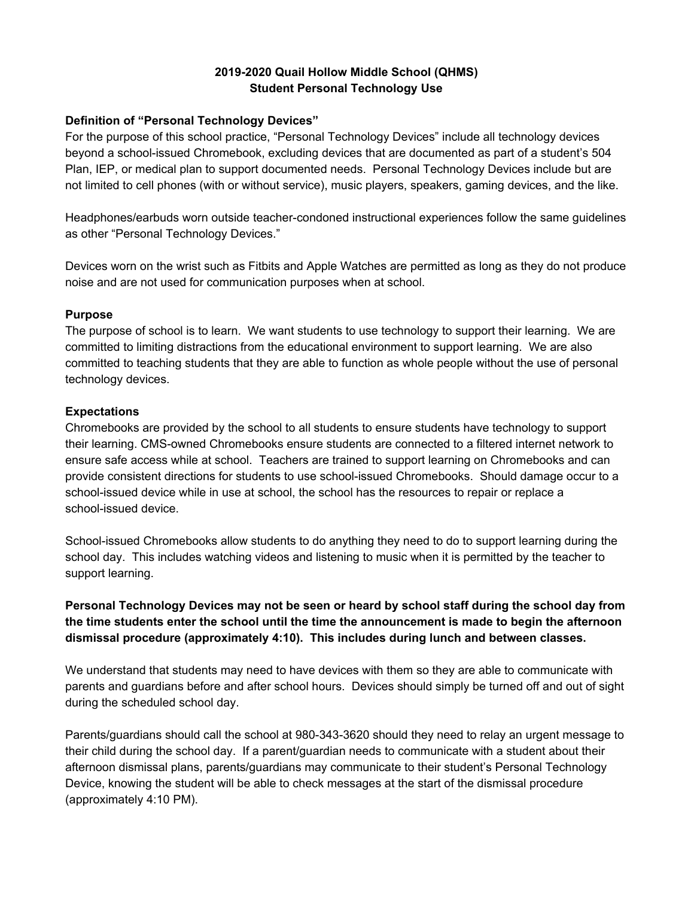## **2019-2020 Quail Hollow Middle School (QHMS) Student Personal Technology Use**

## **Definition of "Personal Technology Devices"**

For the purpose of this school practice, "Personal Technology Devices" include all technology devices beyond a school-issued Chromebook, excluding devices that are documented as part of a student's 504 Plan, IEP, or medical plan to support documented needs. Personal Technology Devices include but are not limited to cell phones (with or without service), music players, speakers, gaming devices, and the like.

Headphones/earbuds worn outside teacher-condoned instructional experiences follow the same guidelines as other "Personal Technology Devices."

Devices worn on the wrist such as Fitbits and Apple Watches are permitted as long as they do not produce noise and are not used for communication purposes when at school.

#### **Purpose**

The purpose of school is to learn. We want students to use technology to support their learning. We are committed to limiting distractions from the educational environment to support learning. We are also committed to teaching students that they are able to function as whole people without the use of personal technology devices.

#### **Expectations**

Chromebooks are provided by the school to all students to ensure students have technology to support their learning. CMS-owned Chromebooks ensure students are connected to a filtered internet network to ensure safe access while at school. Teachers are trained to support learning on Chromebooks and can provide consistent directions for students to use school-issued Chromebooks. Should damage occur to a school-issued device while in use at school, the school has the resources to repair or replace a school-issued device.

School-issued Chromebooks allow students to do anything they need to do to support learning during the school day. This includes watching videos and listening to music when it is permitted by the teacher to support learning.

# **Personal Technology Devices may not be seen or heard by school staff during the school day from the time students enter the school until the time the announcement is made to begin the afternoon dismissal procedure (approximately 4:10). This includes during lunch and between classes.**

We understand that students may need to have devices with them so they are able to communicate with parents and guardians before and after school hours. Devices should simply be turned off and out of sight during the scheduled school day.

Parents/guardians should call the school at 980-343-3620 should they need to relay an urgent message to their child during the school day. If a parent/guardian needs to communicate with a student about their afternoon dismissal plans, parents/guardians may communicate to their student's Personal Technology Device, knowing the student will be able to check messages at the start of the dismissal procedure (approximately 4:10 PM).